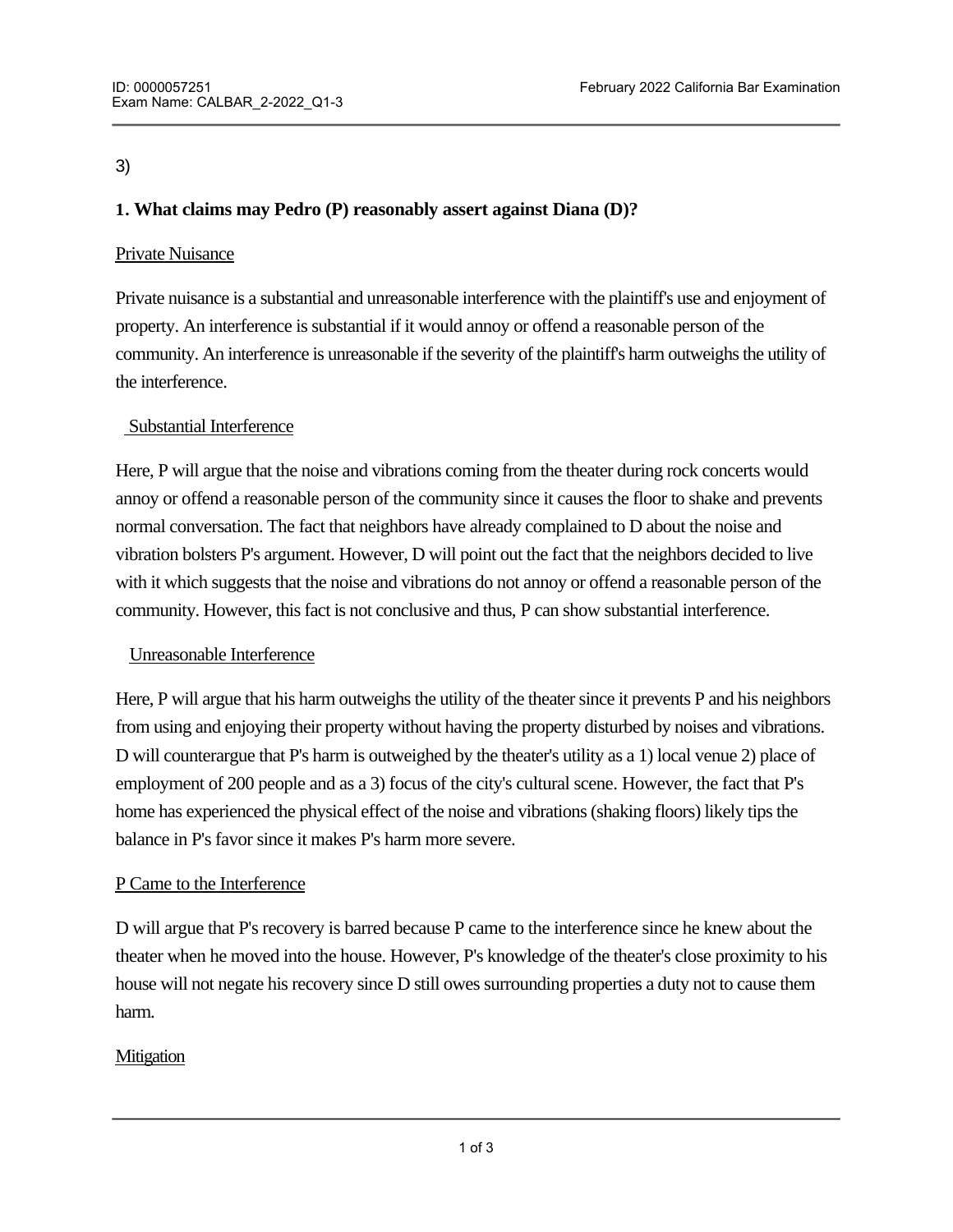# 3)

# **1. What claims may Pedro (P) reasonably assert against Diana (D)?**

### Private Nuisance

Private nuisance is a substantial and unreasonable interference with the plaintiff's use and enjoyment of property. An interference is substantial if it would annoy or offend a reasonable person of the community. An interference is unreasonable if the severity of the plaintiff's harm outweighs the utility of the interference.

### Substantial Interference

Here, P will argue that the noise and vibrations coming from the theater during rock concerts would annoy or offend a reasonable person of the community since it causes the floor to shake and prevents normal conversation. The fact that neighbors have already complained to D about the noise and vibration bolsters P's argument. However, D will point out the fact that the neighbors decided to live with it which suggests that the noise and vibrations do not annoy or offend a reasonable person of the community. However, this fact is not conclusive and thus, P can show substantial interference.

#### Unreasonable Interference

Here, P will argue that his harm outweighs the utility of the theater since it prevents P and his neighbors from using and enjoying their property without having the property disturbed by noises and vibrations. D will counterargue that P's harm is outweighed by the theater's utility as a 1) local venue 2) place of employment of 200 people and as a 3) focus of the city's cultural scene. However, the fact that P's home has experienced the physical effect of the noise and vibrations (shaking floors) likely tips the balance in P's favor since it makes P's harm more severe.

#### P Came to the Interference

D will argue that P's recovery is barred because P came to the interference since he knew about the theater when he moved into the house. However, P's knowledge of the theater's close proximity to his house will not negate his recovery since D still owes surrounding properties a duty not to cause them harm.

# **Mitigation**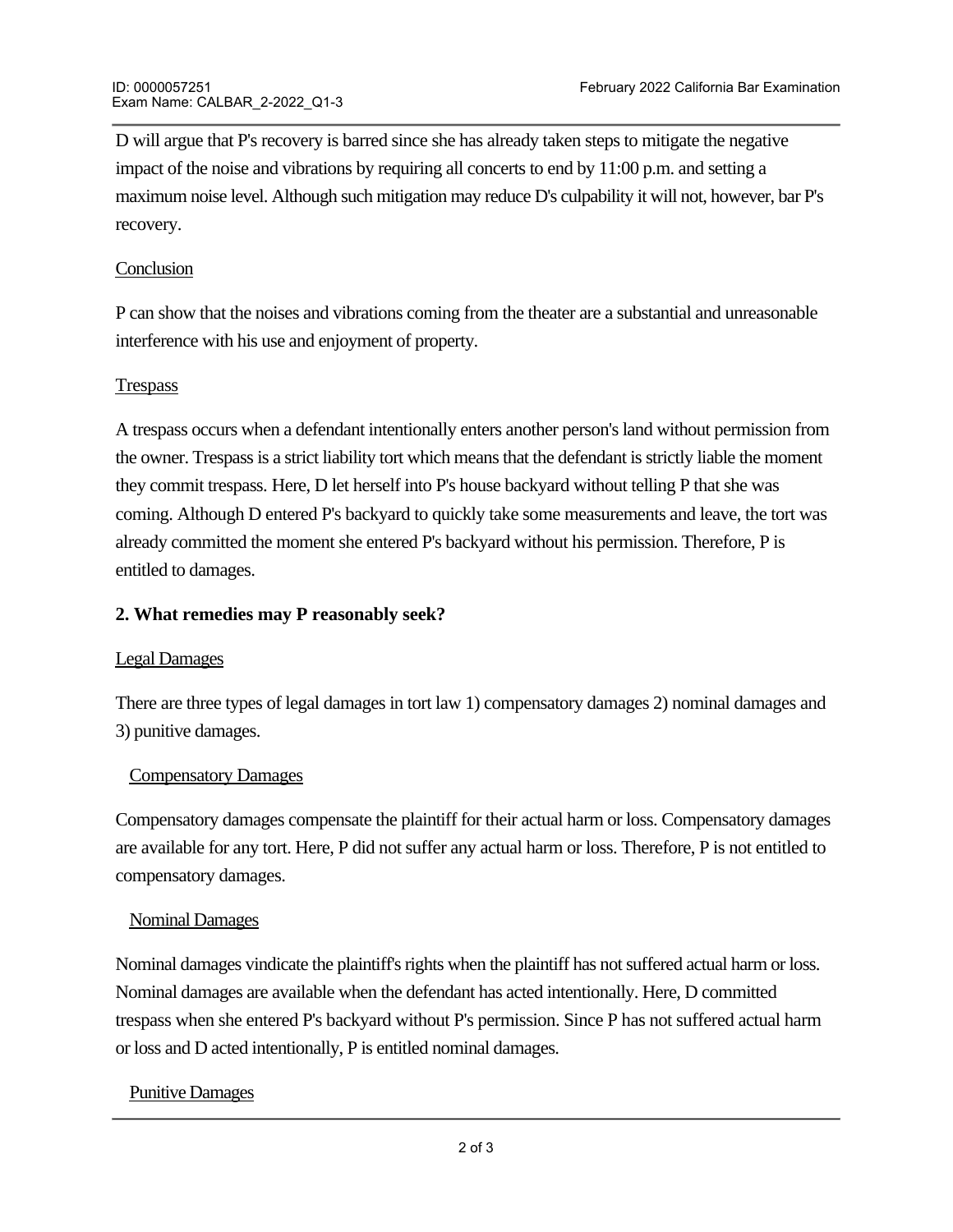D will argue that P's recovery is barred since she has already taken steps to mitigate the negative impact of the noise and vibrations by requiring all concerts to end by 11:00 p.m. and setting a maximum noise level. Although such mitigation may reduce D's culpability it will not, however, bar P's recovery.

### **Conclusion**

P can show that the noises and vibrations coming from the theater are a substantial and unreasonable interference with his use and enjoyment of property.

### **Trespass**

A trespass occurs when a defendant intentionally enters another person's land without permission from the owner. Trespass is a strict liability tort which means that the defendant is strictly liable the moment they commit trespass. Here, D let herself into P's house backyard without telling P that she was coming. Although D entered P's backyard to quickly take some measurements and leave, the tort was already committed the moment she entered P's backyard without his permission. Therefore, P is entitled to damages.

### **2. What remedies may P reasonably seek?**

#### Legal Damages

There are three types of legal damages in tort law 1) compensatory damages 2) nominal damages and 3) punitive damages.

#### Compensatory Damages

Compensatory damages compensate the plaintiff for their actual harm or loss. Compensatory damages are available for any tort. Here, P did not suffer any actual harm or loss. Therefore, P is not entitled to compensatory damages.

#### Nominal Damages

Nominal damages vindicate the plaintiff's rights when the plaintiff has not suffered actual harm or loss. Nominal damages are available when the defendant has acted intentionally. Here, D committed trespass when she entered P's backyard without P's permission. Since P has not suffered actual harm or loss and D acted intentionally, P is entitled nominal damages.

#### Punitive Damages